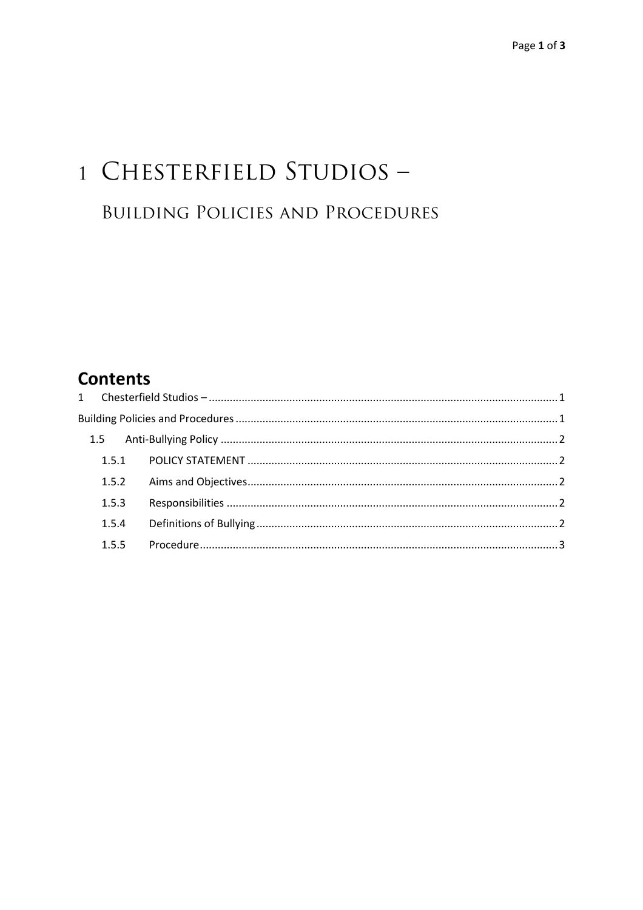# 1 CHESTERFIELD STUDIOS -**BUILDING POLICIES AND PROCEDURES**

# **Contents**

| 1.5.3 |  |
|-------|--|
|       |  |
|       |  |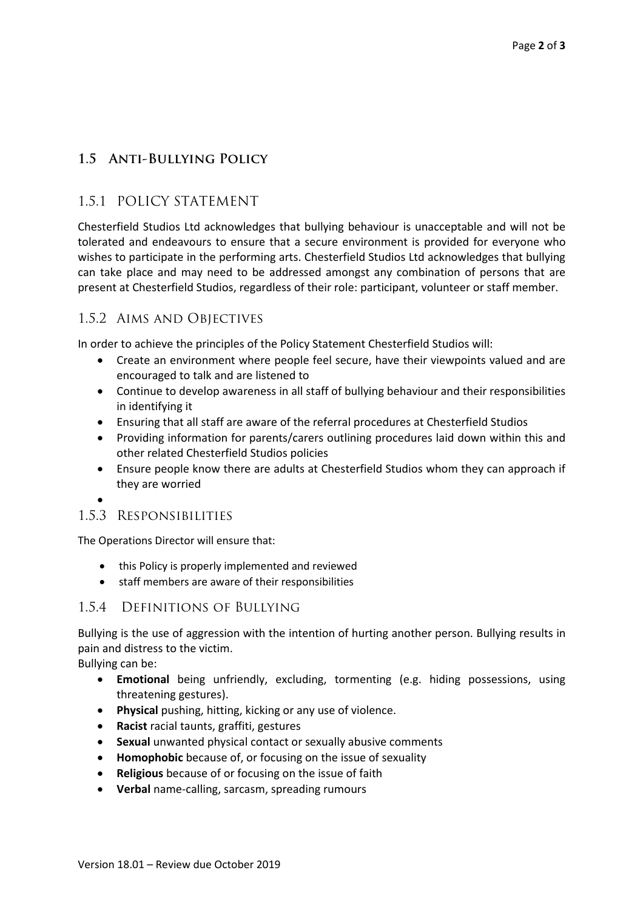## **1.5 Anti-Bullying Policy**

## 1.5.1 POLICY STATEMENT

Chesterfield Studios Ltd acknowledges that bullying behaviour is unacceptable and will not be tolerated and endeavours to ensure that a secure environment is provided for everyone who wishes to participate in the performing arts. Chesterfield Studios Ltd acknowledges that bullying can take place and may need to be addressed amongst any combination of persons that are present at Chesterfield Studios, regardless of their role: participant, volunteer or staff member.

#### 1.5.2 Aims and Objectives

In order to achieve the principles of the Policy Statement Chesterfield Studios will:

- Create an environment where people feel secure, have their viewpoints valued and are encouraged to talk and are listened to
- Continue to develop awareness in all staff of bullying behaviour and their responsibilities in identifying it
- Ensuring that all staff are aware of the referral procedures at Chesterfield Studios
- Providing information for parents/carers outlining procedures laid down within this and other related Chesterfield Studios policies
- Ensure people know there are adults at Chesterfield Studios whom they can approach if they are worried
- $\bullet$

#### 1.5.3 Responsibilities

The Operations Director will ensure that:

- this Policy is properly implemented and reviewed
- staff members are aware of their responsibilities

#### 1.5.4 Definitions of Bullying

Bullying is the use of aggression with the intention of hurting another person. Bullying results in pain and distress to the victim.

Bullying can be:

- **Emotional** being unfriendly, excluding, tormenting (e.g. hiding possessions, using threatening gestures).
- **Physical** pushing, hitting, kicking or any use of violence.
- **Racist** racial taunts, graffiti, gestures
- **Sexual** unwanted physical contact or sexually abusive comments
- **Homophobic** because of, or focusing on the issue of sexuality
- **Religious** because of or focusing on the issue of faith
- **Verbal** name-calling, sarcasm, spreading rumours